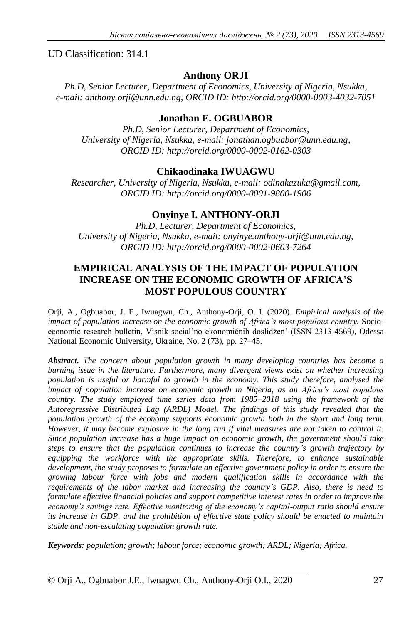UD Classification: 314.1

# **Anthony ORJI**

*Ph.D, Senior Lecturer, Department of Economics, University of Nigeria, Nsukka, e-mail: anthony.orji@unn.edu.ng, ORCID ID: http://orcid.org/0000-0003-4032-7051*

# **Jonathan E. OGBUABOR**

*Ph.D, Senior Lecturer, Department of Economics, University of Nigeria, Nsukka, e-mail: jonathan.ogbuabor@unn.edu.ng, ORCID ID: http://orcid.org/0000-0002-0162-0303*

## **Chikaodinaka IWUAGWU**

*Researcher, University of Nigeria, Nsukka, e-mail: odinakazuka@gmail.com, ORCID ID: http://orcid.org/0000-0001-9800-1906*

# **Onyinye I. ANTHONY-ORJI**

*Ph.D, Lecturer, Department of Economics, University of Nigeria, Nsukka, e-mail: onyinye.anthony-orji@unn.edu.ng, ORCID ID: http://orcid.org/0000-0002-0603-7264*

# **EMPIRICAL ANALYSIS OF THE IMPACT OF POPULATION INCREASE ON THE ECONOMIC GROWTH OF AFRICA'S MOST POPULOUS COUNTRY**

Orji, A., Ogbuabor, J. E., Iwuagwu, Ch., Anthony-Orji, O. I. (2020). *Empirical analysis of the impact of population increase on the economic growth of Africa's most populous country.* Socioeconomic research bulletin, Vìsnik socìal'no-ekonomìčnih doslìdžen' (ISSN 2313-4569), Odessa National Economic University, Ukraine, No. 2 (73), pp. 27–45.

*Abstract. The concern about population growth in many developing countries has become a burning issue in the literature. Furthermore, many divergent views exist on whether increasing population is useful or harmful to growth in the economy. This study therefore, analysed the impact of population increase on economic growth in Nigeria, as an Africa's most populous country. The study employed time series data from 1985–2018 using the framework of the Autoregressive Distributed Lag (ARDL) Model. The findings of this study revealed that the population growth of the economy supports economic growth both in the short and long term. However, it may become explosive in the long run if vital measures are not taken to control it. Since population increase has a huge impact on economic growth, the government should take steps to ensure that the population continues to increase the country's growth trajectory by equipping the workforce with the appropriate skills. Therefore, to enhance sustainable development, the study proposes to formulate an effective government policy in order to ensure the growing labour force with jobs and modern qualification skills in accordance with the requirements of the labor market and increasing the country's GDP. Also, there is need to formulate effective financial policies and support competitive interest rates in order to improve the economy's savings rate. Effective monitoring of the economy's capital-output ratio should ensure its increase in GDP, and the prohibition of effective state policy should be enacted to maintain stable and non-escalating population growth rate.*

*Keywords: population; growth; labour force; economic growth; ARDL; Nigeria; Africa.*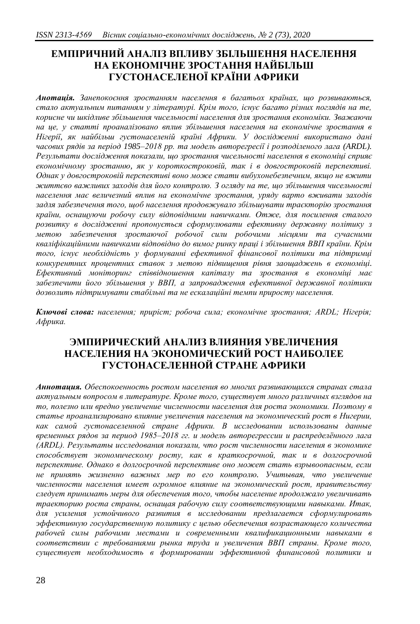# **ЕМПІРИЧНИЙ АНАЛІЗ ВПЛИВУ ЗБІЛЬШЕННЯ НАСЕЛЕННЯ НА ЕКОНОМІЧНЕ ЗРОСТАННЯ НАЙБІЛЬШ ГУСТОНАСЕЛЕНОЇ КРАЇНИ АФРИКИ**

*Анотація. Занепокоєння зростанням населення в багатьох країнах, що розвиваються, стало актуальним питанням у літературі. Крім того, існує багато різних поглядів на те, корисне чи шкідливе збільшення чисельності населення для зростання економіки. Зважаючи на це, у статті проаналізовано вплив збільшення населення на економічне зростання в Нігерії, як найбільш густонаселеній країні Африки. У дослідженні використано дані часових рядів за період 1985–2018 рр. та модель авторегресії і розподіленого лага (ARDL). Результати дослідження показали, що зростання чисельності населення в економіці сприяє економічному зростанню, як у короткостроковій, так і в довгостроковій перспективі. Однак у довгостроковій перспективі воно може стати вибухонебезпечним, якщо не вжити життєво важливих заходів для його контролю. З огляду на те, що збільшення чисельності населення має величезний вплив на економічне зростання, уряду варто вживати заходів задля забезпечення того, щоб населення продовжувало збільшувати траєкторію зростання країни, оснащуючи робочу силу відповідними навичками. Отже, для посилення сталого розвитку в дослідженні пропонується сформулювати ефективну державну політику з метою забезпечення зростаючої робочої сили робочими місцями та сучасними кваліфікаційними навичками відповідно до вимог ринку праці і збільшення ВВП країни. Крім того, існує необхідність у формуванні ефективної фінансової політики та підтримці конкурентних процентних ставок з метою підвищення рівня заощаджень в економіці. Ефективний моніторинг співвідношення капіталу та зростання в економіці має забезпечити його збільшення у ВВП, а запровадження ефективної державної політики дозволить підтримувати стабільні та не ескалаційні темпи приросту населення.*

*Ключові слова: населення; приріст; робоча сила; економічне зростання; ARDL; Нігерія; Африка.*

# **ЭМПИРИЧЕСКИЙ АНАЛИЗ ВЛИЯНИЯ УВЕЛИЧЕНИЯ НАСЕЛЕНИЯ НА ЭКОНОМИЧЕСКИЙ РОСТ НАИБОЛЕЕ ГУСТОНАСЕЛЕННОЙ СТРАНЕ АФРИКИ**

*Аннотация. Обеспокоенность ростом населения во многих развивающихся странах стала актуальным вопросом в литературе. Кроме того, существует много различных взглядов на то, полезно или вредно увеличение численности населения для роста экономики. Поэтому в статье проанализировано влияние увеличения населения на экономический рост в Нигерии, как самой густонаселенной стране Африки. В исследовании использованы данные временных рядов за период 1985–2018 гг. и модель авторегрессии и распределѐнного лага (ARDL). Результаты исследования показали, что рост численности населения в экономике способствует экономическому росту, как в краткосрочной, так и в долгосрочной перспективе. Однако в долгосрочной перспективе оно может стать взрывоопасным, если не принять жизненно важных мер по его контролю. Учитывая, что увеличение численности населения имеет огромное влияние на экономический рост, правительству следует принимать меры для обеспечения того, чтобы население продолжало увеличивать траекторию роста страны, оснащая рабочую силу соответствующими навыками. Итак, для усиления устойчивого развития в исследовании предлагается сформулировать эффективную государственную политику с целью обеспечения возрастающего количества рабочей силы рабочими местами и современными квалификационными навыками в соответствии с требованиями рынка труда и увеличения ВВП страны. Кроме того, существует необходимость в формировании эффективной финансовой политики и*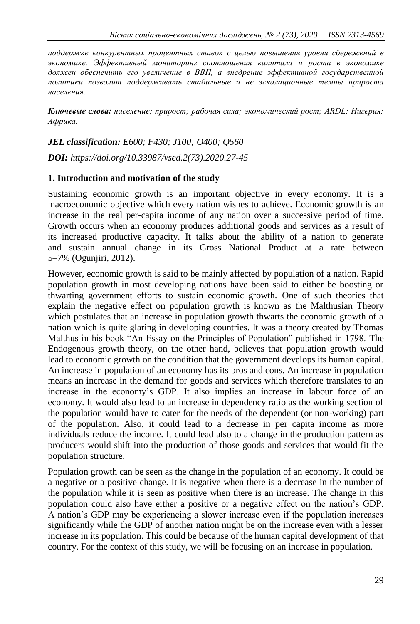*поддержке конкурентных процентных ставок с целью повышения уровня сбережений в экономике. Эффективный мониторинг соотношения капитала и роста в экономике должен обеспечить его увеличение в ВВП, а внедрение эффективной государственной политики позволит поддерживать стабильные и не эскалационные темпы прироста населения.*

*Ключевые слова: население; прирост; рабочая сила; экономический рост; ARDL; Нигерия; Африка.*

*JEL classification: E600; F430; J100; O400; Q560 DOI: https://doi.org/10.33987/vsed.2(73).2020.27-45*

#### **1. Introduction and motivation of the study**

Sustaining economic growth is an important objective in every economy. It is a macroeconomic objective which every nation wishes to achieve. Economic growth is an increase in the real per-capita income of any nation over a successive period of time. Growth occurs when an economy produces additional goods and services as a result of its increased productive capacity. It talks about the ability of a nation to generate and sustain annual change in its Gross National Product at a rate between 5–7% (Ogunjiri, 2012).

However, economic growth is said to be mainly affected by population of a nation. Rapid population growth in most developing nations have been said to either be boosting or thwarting government efforts to sustain economic growth. One of such theories that explain the negative effect on population growth is known as the Malthusian Theory which postulates that an increase in population growth thwarts the economic growth of a nation which is quite glaring in developing countries. It was a theory created by Thomas Malthus in his book "An Essay on the Principles of Population" published in 1798. The Endogenous growth theory, on the other hand, believes that population growth would lead to economic growth on the condition that the government develops its human capital. An increase in population of an economy has its pros and cons. An increase in population means an increase in the demand for goods and services which therefore translates to an increase in the economy's GDP. It also implies an increase in labour force of an economy. It would also lead to an increase in dependency ratio as the working section of the population would have to cater for the needs of the dependent (or non-working) part of the population. Also, it could lead to a decrease in per capita income as more individuals reduce the income. It could lead also to a change in the production pattern as producers would shift into the production of those goods and services that would fit the population structure.

Population growth can be seen as the change in the population of an economy. It could be a negative or a positive change. It is negative when there is a decrease in the number of the population while it is seen as positive when there is an increase. The change in this population could also have either a positive or a negative effect on the nation's GDP. A nation's GDP may be experiencing a slower increase even if the population increases significantly while the GDP of another nation might be on the increase even with a lesser increase in its population. This could be because of the human capital development of that country. For the context of this study, we will be focusing on an increase in population.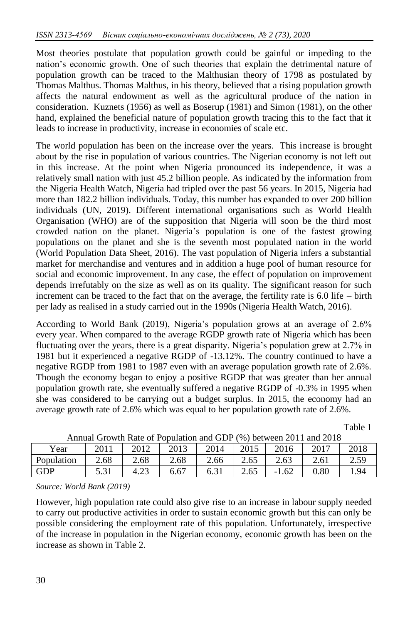Most theories postulate that population growth could be gainful or impeding to the nation's economic growth. One of such theories that explain the detrimental nature of population growth can be traced to the Malthusian theory of 1798 as postulated by Thomas Malthus. Thomas Malthus, in his theory, believed that a rising population growth affects the natural endowment as well as the agricultural produce of the nation in consideration. Kuznets (1956) as well as Boserup (1981) and Simon (1981), on the other hand, explained the beneficial nature of population growth tracing this to the fact that it leads to increase in productivity, increase in economies of scale etc.

The world population has been on the increase over the years. This increase is brought about by the rise in population of various countries. The Nigerian economy is not left out in this increase. At the point when Nigeria pronounced its independence, it was a relatively small nation with just 45.2 billion people. As indicated by the information from the Nigeria Health Watch, Nigeria had tripled over the past 56 years. In 2015, Nigeria had more than 182.2 billion individuals. Today, this number has expanded to over 200 billion individuals (UN, 2019). Different international organisations such as World Health Organisation (WHO) are of the supposition that Nigeria will soon be the third most crowded nation on the planet. Nigeria's population is one of the fastest growing populations on the planet and she is the seventh most populated nation in the world (World Population Data Sheet, 2016). The vast population of Nigeria infers a substantial market for merchandise and ventures and in addition a huge pool of human resource for social and economic improvement. In any case, the effect of population on improvement depends irrefutably on the size as well as on its quality. The significant reason for such increment can be traced to the fact that on the average, the fertility rate is 6.0 life – birth per lady as realised in a study carried out in the 1990s (Nigeria Health Watch, 2016).

According to World Bank (2019), Nigeria's population grows at an average of 2.6% every year. When compared to the average RGDP growth rate of Nigeria which has been fluctuating over the years, there is a great disparity. Nigeria's population grew at 2.7% in 1981 but it experienced a negative RGDP of -13.12%. The country continued to have a negative RGDP from 1981 to 1987 even with an average population growth rate of 2.6%. Though the economy began to enjoy a positive RGDP that was greater than her annual population growth rate, she eventually suffered a negative RGDP of -0.3% in 1995 when she was considered to be carrying out a budget surplus. In 2015, the economy had an average growth rate of 2.6% which was equal to her population growth rate of 2.6%.

Table 1

| Allitual Growth Kate of Population and GDP (%) between 2011 and 2016 |      |      |      |      |      |         |      |      |
|----------------------------------------------------------------------|------|------|------|------|------|---------|------|------|
| Year                                                                 | 2011 | 2012 | 2013 | 2014 | 2015 | 2016    | 2017 | 2018 |
| Population                                                           | 2.68 | 2.68 | 2.68 | 2.66 | 2.65 | 2.63    |      | 2.59 |
| GDP                                                                  |      |      | 6.67 | 6.31 | 2.65 | $-1.62$ | 0.80 | .94  |
|                                                                      |      |      |      |      |      |         |      |      |

*Source: World Bank (2019)*

However, high population rate could also give rise to an increase in labour supply needed to carry out productive activities in order to sustain economic growth but this can only be possible considering the employment rate of this population. Unfortunately, irrespective of the increase in population in the Nigerian economy, economic growth has been on the increase as shown in Table 2.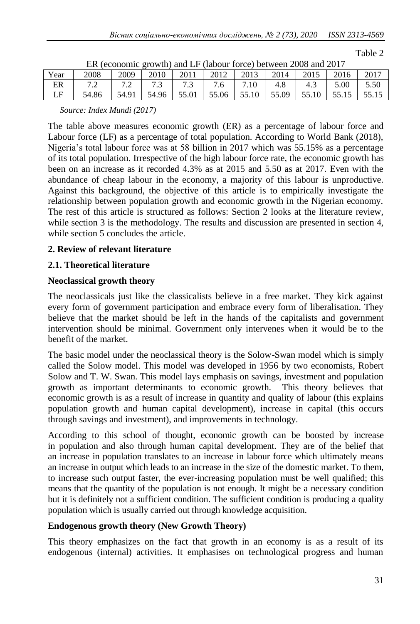| ır.<br>. . |  |
|------------|--|
|------------|--|

|         | $\text{Ent}$ (coofforme growth) and $\text{E}$ (habbar force) between 2000 and 2017 |       |       |       |       |       |       |       |       |       |
|---------|-------------------------------------------------------------------------------------|-------|-------|-------|-------|-------|-------|-------|-------|-------|
| Year    | 2008                                                                                | 2009  | 2010  | 2011  | 2012  | 2013  | 2014  | 2015  | 2016  | 2017  |
| ER      | 72<br>$\cdot$                                                                       | 7.2   |       | 7.3   | 7.6   |       | 4.8   | 4.3   | 5.00  | 5.50  |
| IЕ<br>⊷ | 54.86                                                                               | 54.91 | 54.96 | 55.01 | 55.06 | 55.10 | 55.09 | 55.10 | 55.15 | 55.15 |

|  |  | ER (economic growth) and LF (labour force) between 2008 and 2017 |
|--|--|------------------------------------------------------------------|
|  |  |                                                                  |

*Source: Index Mundi (2017)*

The table above measures economic growth (ER) as a percentage of labour force and Labour force (LF) as a percentage of total population. According to World Bank (2018), Nigeria's total labour force was at 58 billion in 2017 which was 55.15% as a percentage of its total population. Irrespective of the high labour force rate, the economic growth has been on an increase as it recorded 4.3% as at 2015 and 5.50 as at 2017. Even with the abundance of cheap labour in the economy, a majority of this labour is unproductive. Against this background, the objective of this article is to empirically investigate the relationship between population growth and economic growth in the Nigerian economy. The rest of this article is structured as follows: Section 2 looks at the literature review, while section 3 is the methodology. The results and discussion are presented in section 4, while section 5 concludes the article.

#### **2. Review of relevant literature**

#### **2.1. Theoretical literature**

#### **Neoclassical growth theory**

The neoclassicals just like the classicalists believe in a free market. They kick against every form of government participation and embrace every form of liberalisation. They believe that the market should be left in the hands of the capitalists and government intervention should be minimal. Government only intervenes when it would be to the benefit of the market.

The basic model under the neoclassical theory is the Solow-Swan model which is simply called the Solow model. This model was developed in 1956 by two economists, Robert Solow and T. W. Swan. This model lays emphasis on savings, investment and population growth as important determinants to economic growth. This theory believes that economic growth is as a result of increase in quantity and quality of labour (this explains population growth and human capital development), increase in capital (this occurs through savings and investment), and improvements in technology.

According to this school of thought, economic growth can be boosted by increase in population and also through human capital development. They are of the belief that an increase in population translates to an increase in labour force which ultimately means an increase in output which leads to an increase in the size of the domestic market. To them, to increase such output faster, the ever-increasing population must be well qualified; this means that the quantity of the population is not enough. It might be a necessary condition but it is definitely not a sufficient condition. The sufficient condition is producing a quality population which is usually carried out through knowledge acquisition.

## **Endogenous growth theory (New Growth Theory)**

This theory emphasizes on the fact that growth in an economy is as a result of its endogenous (internal) activities. It emphasises on technological progress and human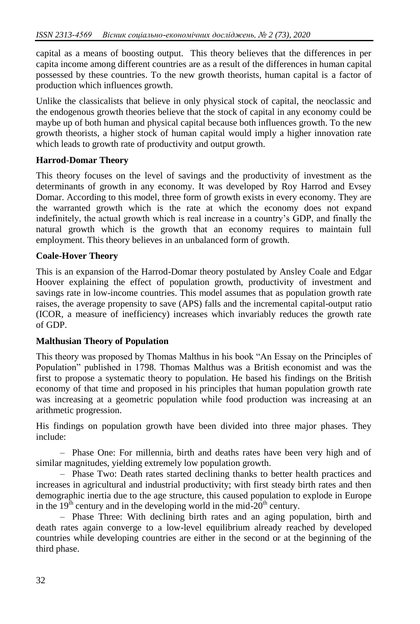capital as a means of boosting output. This theory believes that the differences in per capita income among different countries are as a result of the differences in human capital possessed by these countries. To the new growth theorists, human capital is a factor of production which influences growth.

Unlike the classicalists that believe in only physical stock of capital, the neoclassic and the endogenous growth theories believe that the stock of capital in any economy could be maybe up of both human and physical capital because both influences growth. To the new growth theorists, a higher stock of human capital would imply a higher innovation rate which leads to growth rate of productivity and output growth.

## **Harrod-Domar Theory**

This theory focuses on the level of savings and the productivity of investment as the determinants of growth in any economy. It was developed by Roy Harrod and Evsey Domar. According to this model, three form of growth exists in every economy. They are the warranted growth which is the rate at which the economy does not expand indefinitely, the actual growth which is real increase in a country's GDP, and finally the natural growth which is the growth that an economy requires to maintain full employment. This theory believes in an unbalanced form of growth.

#### **Coale-Hover Theory**

This is an expansion of the Harrod-Domar theory postulated by Ansley Coale and Edgar Hoover explaining the effect of population growth, productivity of investment and savings rate in low-income countries. This model assumes that as population growth rate raises, the average propensity to save (APS) falls and the incremental capital-output ratio (ICOR, a measure of inefficiency) increases which invariably reduces the growth rate of GDP.

#### **Malthusian Theory of Population**

This theory was proposed by Thomas Malthus in his book "An Essay on the Principles of Population" published in 1798. Thomas Malthus was a British economist and was the first to propose a systematic theory to population. He based his findings on the British economy of that time and proposed in his principles that human population growth rate was increasing at a geometric population while food production was increasing at an arithmetic progression.

His findings on population growth have been divided into three major phases. They include:

– Phase One: For millennia, birth and deaths rates have been very high and of similar magnitudes, yielding extremely low population growth.

– Phase Two: Death rates started declining thanks to better health practices and increases in agricultural and industrial productivity; with first steady birth rates and then demographic inertia due to the age structure, this caused population to explode in Europe in the  $19<sup>th</sup>$  century and in the developing world in the mid- $20<sup>th</sup>$  century.

– Phase Three: With declining birth rates and an aging population, birth and death rates again converge to a low-level equilibrium already reached by developed countries while developing countries are either in the second or at the beginning of the third phase.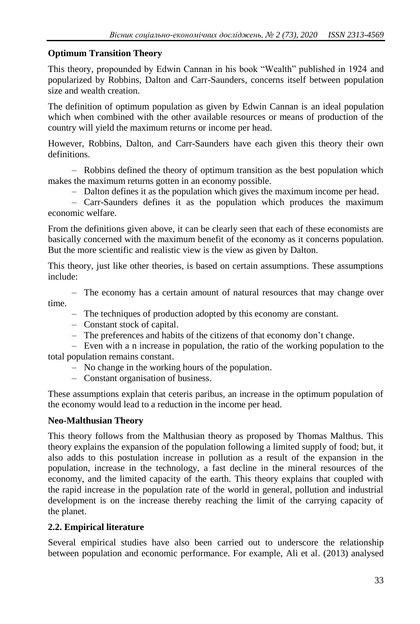# **Optimum Transition Theory**

This theory, propounded by Edwin Cannan in his book "Wealth" published in 1924 and popularized by Robbins, Dalton and Carr-Saunders, concerns itself between population size and wealth creation.

The definition of optimum population as given by Edwin Cannan is an ideal population which when combined with the other available resources or means of production of the country will yield the maximum returns or income per head.

However, Robbins, Dalton, and Carr-Saunders have each given this theory their own definitions.

– Robbins defined the theory of optimum transition as the best population which makes the maximum returns gotten in an economy possible.

– Dalton defines it as the population which gives the maximum income per head.

– Carr-Saunders defines it as the population which produces the maximum economic welfare.

From the definitions given above, it can be clearly seen that each of these economists are basically concerned with the maximum benefit of the economy as it concerns population. But the more scientific and realistic view is the view as given by Dalton.

This theory, just like other theories, is based on certain assumptions. These assumptions include:

– The economy has a certain amount of natural resources that may change over time.

- The techniques of production adopted by this economy are constant.
- Constant stock of capital.
- The preferences and habits of the citizens of that economy don't change.

– Even with a n increase in population, the ratio of the working population to the total population remains constant.

- No change in the working hours of the population.
- Constant organisation of business.

These assumptions explain that ceteris paribus, an increase in the optimum population of the economy would lead to a reduction in the income per head.

# **Neo-Malthusian Theory**

This theory follows from the Malthusian theory as proposed by Thomas Malthus. This theory explains the expansion of the population following a limited supply of food; but, it also adds to this postulation increase in pollution as a result of the expansion in the population, increase in the technology, a fast decline in the mineral resources of the economy, and the limited capacity of the earth. This theory explains that coupled with the rapid increase in the population rate of the world in general, pollution and industrial development is on the increase thereby reaching the limit of the carrying capacity of the planet.

# **2.2. Empirical literature**

Several empirical studies have also been carried out to underscore the relationship between population and economic performance. For example, Ali et al. (2013) analysed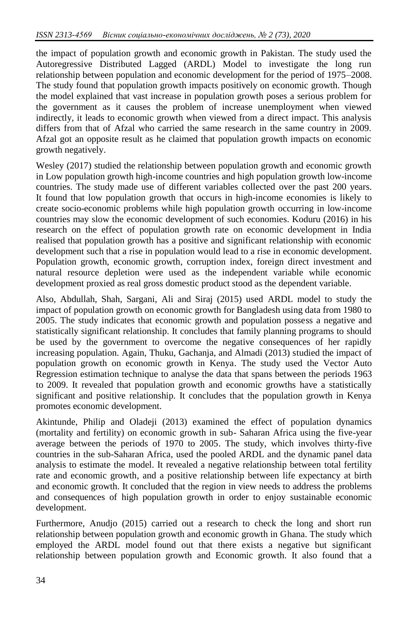the impact of population growth and economic growth in Pakistan. The study used the Autoregressive Distributed Lagged (ARDL) Model to investigate the long run relationship between population and economic development for the period of 1975–2008. The study found that population growth impacts positively on economic growth. Though the model explained that vast increase in population growth poses a serious problem for the government as it causes the problem of increase unemployment when viewed indirectly, it leads to economic growth when viewed from a direct impact. This analysis differs from that of Afzal who carried the same research in the same country in 2009. Afzal got an opposite result as he claimed that population growth impacts on economic growth negatively.

Wesley (2017) studied the relationship between population growth and economic growth in Low population growth high-income countries and high population growth low-income countries. The study made use of different variables collected over the past 200 years. It found that low population growth that occurs in high-income economies is likely to create socio-economic problems while high population growth occurring in low-income countries may slow the economic development of such economies. Koduru (2016) in his research on the effect of population growth rate on economic development in India realised that population growth has a positive and significant relationship with economic development such that a rise in population would lead to a rise in economic development. Population growth, economic growth, corruption index, foreign direct investment and natural resource depletion were used as the independent variable while economic development proxied as real gross domestic product stood as the dependent variable.

Also, Abdullah, Shah, Sargani, Ali and Siraj (2015) used ARDL model to study the impact of population growth on economic growth for Bangladesh using data from 1980 to 2005. The study indicates that economic growth and population possess a negative and statistically significant relationship. It concludes that family planning programs to should be used by the government to overcome the negative consequences of her rapidly increasing population. Again, Thuku, Gachanja, and Almadi (2013) studied the impact of population growth on economic growth in Kenya. The study used the Vector Auto Regression estimation technique to analyse the data that spans between the periods 1963 to 2009. It revealed that population growth and economic growths have a statistically significant and positive relationship. It concludes that the population growth in Kenya promotes economic development.

Akintunde, Philip and Oladeji (2013) examined the effect of population dynamics (mortality and fertility) on economic growth in sub- Saharan Africa using the five-year average between the periods of 1970 to 2005. The study, which involves thirty-five countries in the sub-Saharan Africa, used the pooled ARDL and the dynamic panel data analysis to estimate the model. It revealed a negative relationship between total fertility rate and economic growth, and a positive relationship between life expectancy at birth and economic growth. It concluded that the region in view needs to address the problems and consequences of high population growth in order to enjoy sustainable economic development.

Furthermore, Anudjo (2015) carried out a research to check the long and short run relationship between population growth and economic growth in Ghana. The study which employed the ARDL model found out that there exists a negative but significant relationship between population growth and Economic growth. It also found that a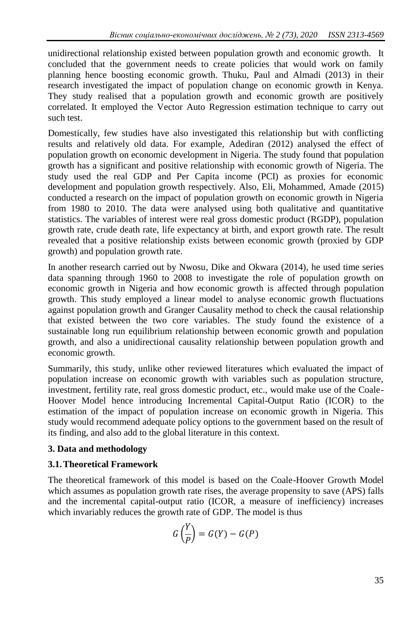unidirectional relationship existed between population growth and economic growth. It concluded that the government needs to create policies that would work on family planning hence boosting economic growth. Thuku, Paul and Almadi (2013) in their research investigated the impact of population change on economic growth in Kenya. They study realised that a population growth and economic growth are positively correlated. It employed the Vector Auto Regression estimation technique to carry out such test.

Domestically, few studies have also investigated this relationship but with conflicting results and relatively old data. For example, Adediran (2012) analysed the effect of population growth on economic development in Nigeria. The study found that population growth has a significant and positive relationship with economic growth of Nigeria. The study used the real GDP and Per Capita income (PCI) as proxies for economic development and population growth respectively. Also, Eli, Mohammed, Amade (2015) conducted a research on the impact of population growth on economic growth in Nigeria from 1980 to 2010. The data were analysed using both qualitative and quantitative statistics. The variables of interest were real gross domestic product (RGDP), population growth rate, crude death rate, life expectancy at birth, and export growth rate. The result revealed that a positive relationship exists between economic growth (proxied by GDP growth) and population growth rate.

In another research carried out by Nwosu, Dike and Okwara (2014), he used time series data spanning through 1960 to 2008 to investigate the role of population growth on economic growth in Nigeria and how economic growth is affected through population growth. This study employed a linear model to analyse economic growth fluctuations against population growth and Granger Causality method to check the causal relationship that existed between the two core variables. The study found the existence of a sustainable long run equilibrium relationship between economic growth and population growth, and also a unidirectional causality relationship between population growth and economic growth.

Summarily, this study, unlike other reviewed literatures which evaluated the impact of population increase on economic growth with variables such as population structure, investment, fertility rate, real gross domestic product, etc., would make use of the Coale-Hoover Model hence introducing Incremental Capital-Output Ratio (ICOR) to the estimation of the impact of population increase on economic growth in Nigeria. This study would recommend adequate policy options to the government based on the result of its finding, and also add to the global literature in this context.

## **3. Data and methodology**

# **3.1.Theoretical Framework**

The theoretical framework of this model is based on the Coale-Hoover Growth Model which assumes as population growth rate rises, the average propensity to save (APS) falls and the incremental capital-output ratio (ICOR, a measure of inefficiency) increases which invariably reduces the growth rate of GDP. The model is thus

$$
G\left(\frac{Y}{P}\right)=G(Y)-G(P)
$$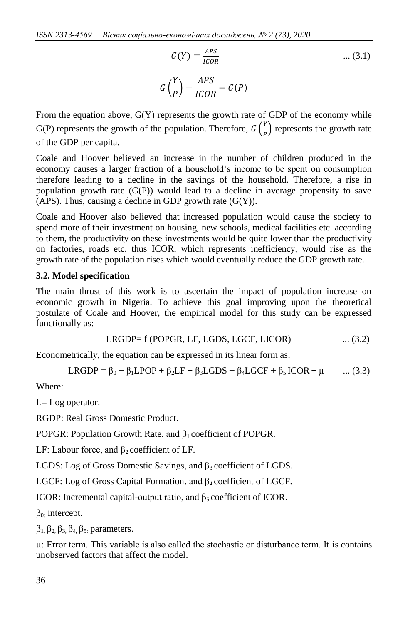$$
G(Y) = \frac{APS}{ICOR}
$$
 ... (3.1)  

$$
G\left(\frac{Y}{P}\right) = \frac{APS}{ICOR} - G(P)
$$

From the equation above,  $G(Y)$  represents the growth rate of GDP of the economy while G(P) represents the growth of the population. Therefore,  $G\left(\frac{Y}{R}\right)$  $\frac{1}{P}$ ) represents the growth rate of the GDP per capita.

Coale and Hoover believed an increase in the number of children produced in the economy causes a larger fraction of a household's income to be spent on consumption therefore leading to a decline in the savings of the household. Therefore, a rise in population growth rate (G(P)) would lead to a decline in average propensity to save (APS). Thus, causing a decline in GDP growth rate  $(G(Y))$ .

Coale and Hoover also believed that increased population would cause the society to spend more of their investment on housing, new schools, medical facilities etc. according to them, the productivity on these investments would be quite lower than the productivity on factories, roads etc. thus ICOR, which represents inefficiency, would rise as the growth rate of the population rises which would eventually reduce the GDP growth rate.

#### **3.2. Model specification**

The main thrust of this work is to ascertain the impact of population increase on economic growth in Nigeria. To achieve this goal improving upon the theoretical postulate of Coale and Hoover, the empirical model for this study can be expressed functionally as:

$$
LRGDP = f (POPGR, LF, LGDS, LGCF, LICOR) \qquad \qquad \dots (3.2)
$$

Econometrically, the equation can be expressed in its linear form as:

$$
LRGDP = \beta_0 + \beta_1 LPOP + \beta_2 LF + \beta_3 LGDS + \beta_4 LGCF + \beta_5 ICOR + \mu \qquad ... (3.3)
$$

Where:

 $L = Log operator$ .

RGDP: Real Gross Domestic Product.

POPGR: Population Growth Rate, and β1 coefficient of POPGR.

LF: Labour force, and  $\beta_2$  coefficient of LF.

LGDS: Log of Gross Domestic Savings, and  $\beta_3$  coefficient of LGDS.

LGCF: Log of Gross Capital Formation, and β<sup>4</sup> coefficient of LGCF.

ICOR: Incremental capital-output ratio, and  $β_5$  coefficient of ICOR.

 $β<sub>0</sub>$ : intercept.

 $β_1$ ,  $β_2$ ,  $β_3$ ,  $β_4$ ,  $β_5$ , parameters.

µ: Error term. This variable is also called the stochastic or disturbance term. It is contains unobserved factors that affect the model.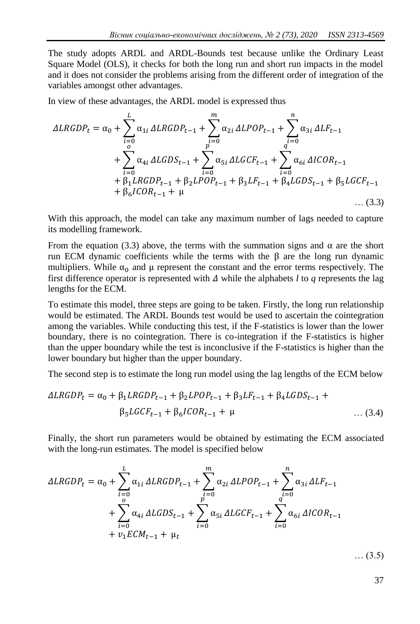The study adopts ARDL and ARDL-Bounds test because unlike the Ordinary Least Square Model (OLS), it checks for both the long run and short run impacts in the model and it does not consider the problems arising from the different order of integration of the variables amongst other advantages.

In view of these advantages, the ARDL model is expressed thus

$$
\Delta LRGDP_{t} = \alpha_{0} + \sum_{i=0}^{L} \alpha_{1i} \Delta LRGDP_{t-1} + \sum_{i=0}^{m} \alpha_{2i} \Delta LPOP_{t-1} + \sum_{i=0}^{n} \alpha_{3i} \Delta LF_{t-1} + \sum_{i=0}^{o} \alpha_{4i} \Delta LGDS_{t-1} + \sum_{i=0}^{p} \alpha_{5i} \Delta LGCF_{t-1} + \sum_{i=0}^{q} \alpha_{6i} \Delta ICOR_{t-1} + \beta_{1}LRGDP_{t-1} + \beta_{2}LPOP_{t-1} + \beta_{3}LF_{t-1} + \beta_{4} LGDS_{t-1} + \beta_{5} LGCF_{t-1} + \beta_{6}ICOR_{t-1} + \mu
$$
 ... (3.3)

With this approach, the model can take any maximum number of lags needed to capture its modelling framework.

From the equation (3.3) above, the terms with the summation signs and  $\alpha$  are the short run ECM dynamic coefficients while the terms with the  $\beta$  are the long run dynamic multipliers. While  $\alpha_0$  and  $\mu$  represent the constant and the error terms respectively. The first difference operator is represented with  $\Delta$  while the alphabets *l* to *q* represents the lag lengths for the ECM.

To estimate this model, three steps are going to be taken. Firstly, the long run relationship would be estimated. The ARDL Bounds test would be used to ascertain the cointegration among the variables. While conducting this test, if the F-statistics is lower than the lower boundary, there is no cointegration. There is co-integration if the F-statistics is higher than the upper boundary while the test is inconclusive if the F-statistics is higher than the lower boundary but higher than the upper boundary.

The second step is to estimate the long run model using the lag lengths of the ECM below

$$
\Delta LRGDP_t = \alpha_0 + \beta_1 LRGDP_{t-1} + \beta_2 LPOP_{t-1} + \beta_3 LF_{t-1} + \beta_4 LGDS_{t-1} + \beta_5 LGCF_{t-1} + \beta_6 ICOR_{t-1} + \mu
$$
 ... (3.4)

Finally, the short run parameters would be obtained by estimating the ECM associated with the long-run estimates. The model is specified below

$$
\Delta LRGDP_{t} = \alpha_{0} + \sum_{i=0}^{L} \alpha_{1i} \Delta LRGDP_{t-1} + \sum_{i=0}^{m} \alpha_{2i} \Delta LPOP_{t-1} + \sum_{i=0}^{n} \alpha_{3i} \Delta LF_{t-1} + \sum_{i=0}^{o} \alpha_{4i} \Delta LGDS_{t-1} + \sum_{i=0}^{p} \alpha_{5i} \Delta LGCF_{t-1} + \sum_{i=0}^{q} \alpha_{6i} \Delta ICOR_{t-1} + \nu_{1} ECM_{t-1} + \mu_{t}
$$

… (3.5)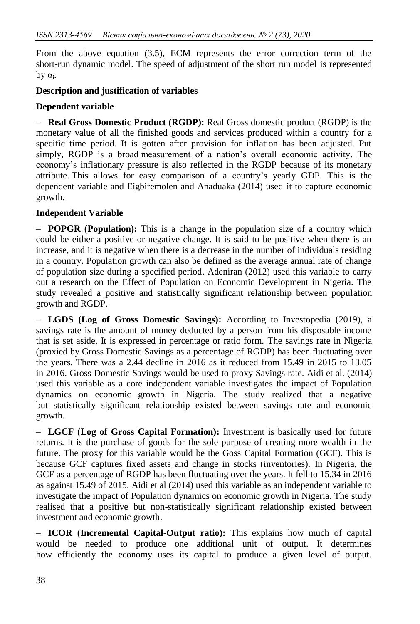From the above equation (3.5), ECM represents the error correction term of the short-run dynamic model. The speed of adjustment of the short run model is represented  $by α_i.$ 

### **Description and justification of variables**

#### **Dependent variable**

– **Real Gross Domestic Product (RGDP):** Real Gross domestic product (RGDP) is the monetary value of all the finished goods and services produced within a country for a specific time period. It is gotten after provision for inflation has been adjusted. Put simply, RGDP is a broad [measurement of a nation's overall economic activity.](http://stats.oecd.org/glossary/detail.asp?ID=1163) The economy's inflationary pressure is also reflected in the RGDP because of its monetary attribute. This allows for easy comparison of a country's yearly GDP. This is the dependent variable and Eigbiremolen and Anaduaka (2014) used it to capture economic growth.

#### **Independent Variable**

– **POPGR (Population):** This is a change in the population size of a country which could be either a positive or negative change. It is said to be positive when there is an increase, and it is negative when there is a decrease in the number of individuals residing in a country. Population growth can also be defined as the average annual rate of change of population size during a specified period. Adeniran (2012) used this variable to carry out a research on the Effect of Population on Economic Development in Nigeria. The study revealed a positive and statistically significant relationship between population growth and RGDP.

– **LGDS (Log of Gross Domestic Savings):** According to Investopedia (2019), a savings rate is the amount of money deducted by a person from his disposable income that is set aside. It is expressed in percentage or ratio form. The savings rate in Nigeria (proxied by Gross Domestic Savings as a percentage of RGDP) has been fluctuating over the years. There was a 2.44 decline in 2016 as it reduced from 15.49 in 2015 to 13.05 in 2016. Gross Domestic Savings would be used to proxy Savings rate. Aidi et al. (2014) used this variable as a core independent variable investigates the impact of Population dynamics on economic growth in Nigeria. The study realized that a negative but statistically significant relationship existed between savings rate and economic growth.

– **LGCF (Log of Gross Capital Formation):** Investment is basically used for future returns. It is the purchase of goods for the sole purpose of creating more wealth in the future. The proxy for this variable would be the Goss Capital Formation (GCF). This is because GCF captures fixed assets and change in stocks (inventories). In Nigeria, the GCF as a percentage of RGDP has been fluctuating over the years. It fell to 15.34 in 2016 as against 15.49 of 2015. Aidi et al (2014) used this variable as an independent variable to investigate the impact of Population dynamics on economic growth in Nigeria. The study realised that a positive but non-statistically significant relationship existed between investment and economic growth.

– **ICOR (Incremental Capital-Output ratio):** This explains how much of capital would be needed to produce one additional unit of output. It determines how efficiently the economy uses its capital to produce a given level of output.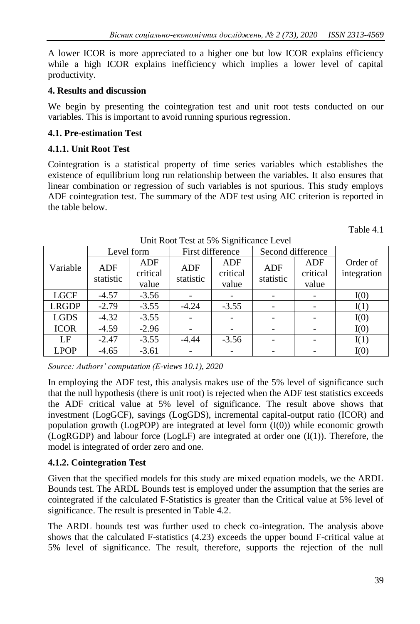A lower ICOR is more appreciated to a higher one but low ICOR explains efficiency while a high ICOR explains inefficiency which implies a lower level of capital productivity.

### **4. Results and discussion**

We begin by presenting the cointegration test and unit root tests conducted on our variables. This is important to avoid running spurious regression.

### **4.1. Pre-estimation Test**

### **4.1.1. Unit Root Test**

Cointegration is a statistical property of time series variables which establishes the existence of equilibrium long run relationship between the variables. It also ensures that linear combination or regression of such variables is not spurious. This study employs ADF cointegration test. The summary of the ADF test using AIC criterion is reported in the table below.

|              | Level form |          | First difference |          | Second difference |          |             |
|--------------|------------|----------|------------------|----------|-------------------|----------|-------------|
| Variable     | ADF        | ADF      | <b>ADF</b>       | ADF      | <b>ADF</b>        | ADF      | Order of    |
|              | statistic  | critical | statistic        | critical | statistic         | critical | integration |
|              |            | value    |                  | value    |                   | value    |             |
| <b>LGCF</b>  | $-4.57$    | $-3.56$  |                  |          |                   |          | I(0)        |
| <b>LRGDP</b> | $-2.79$    | $-3.55$  | $-4.24$          | $-3.55$  |                   |          | I(1)        |
| <b>LGDS</b>  | $-4.32$    | $-3.55$  |                  |          |                   |          | I(0)        |
| <b>ICOR</b>  | $-4.59$    | $-2.96$  |                  |          |                   |          | I(0)        |
| LF           | $-2.47$    | $-3.55$  | $-4.44$          | $-3.56$  |                   |          | I(1)        |
| <b>LPOP</b>  | $-4.65$    | $-3.61$  |                  |          |                   |          | I(0)        |

Unit Root Test at 5% Significance Level

*Source: Authors' computation (E-views 10.1), 2020*

In employing the ADF test, this analysis makes use of the 5% level of significance such that the null hypothesis (there is unit root) is rejected when the ADF test statistics exceeds the ADF critical value at 5% level of significance. The result above shows that investment (LogGCF), savings (LogGDS), incremental capital-output ratio (ICOR) and population growth (LogPOP) are integrated at level form (I(0)) while economic growth (LogRGDP) and labour force (LogLF) are integrated at order one  $(I(1))$ . Therefore, the model is integrated of order zero and one.

## **4.1.2. Cointegration Test**

Given that the specified models for this study are mixed equation models, we the ARDL Bounds test. The ARDL Bounds test is employed under the assumption that the series are cointegrated if the calculated F-Statistics is greater than the Critical value at 5% level of significance. The result is presented in Table 4.2.

The ARDL bounds test was further used to check co-integration. The analysis above shows that the calculated F-statistics (4.23) exceeds the upper bound F-critical value at 5% level of significance. The result, therefore, supports the rejection of the null

Table 4.1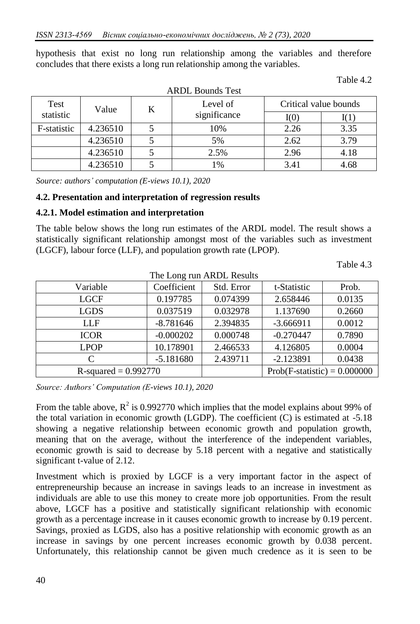hypothesis that exist no long run relationship among the variables and therefore concludes that there exists a long run relationship among the variables.

| Test        | Level of<br>K<br>Value |  |              | Critical value bounds |      |  |
|-------------|------------------------|--|--------------|-----------------------|------|--|
| statistic   |                        |  | significance | I(0)                  |      |  |
| F-statistic | 4.236510               |  | 10%          | 2.26                  | 3.35 |  |
|             | 4.236510               |  | 5%           | 2.62                  | 3.79 |  |
|             | 4.236510               |  | 2.5%         | 2.96                  | 4.18 |  |
|             | 4.236510               |  | 1%           | 3.41                  | 4.68 |  |

Table 4.2

*Source: authors' computation (E-views 10.1), 2020*

#### **4.2. Presentation and interpretation of regression results**

#### **4.2.1. Model estimation and interpretation**

The table below shows the long run estimates of the ARDL model. The result shows a statistically significant relationship amongst most of the variables such as investment (LGCF), labour force (LLF), and population growth rate (LPOP).

Table 4.3

| The Long run ARDL Results |             |                                |             |        |  |  |
|---------------------------|-------------|--------------------------------|-------------|--------|--|--|
| Variable                  | Coefficient | Std. Error                     | t-Statistic | Prob.  |  |  |
| <b>LGCF</b>               | 0.197785    | 0.074399                       | 2.658446    | 0.0135 |  |  |
| <b>LGDS</b>               | 0.037519    | 0.032978                       | 1.137690    | 0.2660 |  |  |
| LLF                       | $-8.781646$ | 2.394835                       | $-3.666911$ | 0.0012 |  |  |
| <b>ICOR</b>               | $-0.000202$ | 0.000748                       | $-0.270447$ | 0.7890 |  |  |
| <b>LPOP</b>               | 10.178901   | 2.466533                       | 4.126805    | 0.0004 |  |  |
| C                         | $-5.181680$ | 2.439711                       | $-2.123891$ | 0.0438 |  |  |
| R-squared = $0.992770$    |             | $Prob(F-statistic) = 0.000000$ |             |        |  |  |

*Source: Authors' Computation (E-views 10.1), 2020*

From the table above,  $R^2$  is 0.992770 which implies that the model explains about 99% of the total variation in economic growth (LGDP). The coefficient (C) is estimated at -5.18 showing a negative relationship between economic growth and population growth, meaning that on the average, without the interference of the independent variables, economic growth is said to decrease by 5.18 percent with a negative and statistically significant t-value of 2.12.

Investment which is proxied by LGCF is a very important factor in the aspect of entrepreneurship because an increase in savings leads to an increase in investment as individuals are able to use this money to create more job opportunities. From the result above, LGCF has a positive and statistically significant relationship with economic growth as a percentage increase in it causes economic growth to increase by 0.19 percent. Savings, proxied as LGDS, also has a positive relationship with economic growth as an increase in savings by one percent increases economic growth by 0.038 percent. Unfortunately, this relationship cannot be given much credence as it is seen to be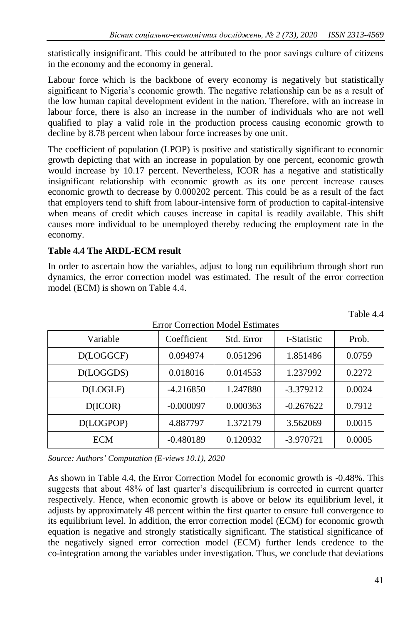statistically insignificant. This could be attributed to the poor savings culture of citizens in the economy and the economy in general.

Labour force which is the backbone of every economy is negatively but statistically significant to Nigeria's economic growth. The negative relationship can be as a result of the low human capital development evident in the nation. Therefore, with an increase in labour force, there is also an increase in the number of individuals who are not well qualified to play a valid role in the production process causing economic growth to decline by 8.78 percent when labour force increases by one unit.

The coefficient of population (LPOP) is positive and statistically significant to economic growth depicting that with an increase in population by one percent, economic growth would increase by 10.17 percent. Nevertheless, ICOR has a negative and statistically insignificant relationship with economic growth as its one percent increase causes economic growth to decrease by 0.000202 percent. This could be as a result of the fact that employers tend to shift from labour-intensive form of production to capital-intensive when means of credit which causes increase in capital is readily available. This shift causes more individual to be unemployed thereby reducing the employment rate in the economy.

# **Table 4.4 The ARDL-ECM result**

In order to ascertain how the variables, adjust to long run equilibrium through short run dynamics, the error correction model was estimated. The result of the error correction model (ECM) is shown on Table 4.4.

 $\mathbf{E}$  and  $\mathbf{C}$  can be contracted Model Estimates

| Variable   | Coefficient | Std. Error | t-Statistic | Prob.  |
|------------|-------------|------------|-------------|--------|
| D(LOGGCF)  | 0.094974    | 0.051296   | 1.851486    | 0.0759 |
| D(LOGGDS)  | 0.018016    | 0.014553   | 1.237992    | 0.2272 |
| D(LOGLF)   | $-4.216850$ | 1.247880   | $-3.379212$ | 0.0024 |
| D(ICOR)    | $-0.000097$ | 0.000363   | $-0.267622$ | 0.7912 |
| D(LOGPOP)  | 4.887797    | 1.372179   | 3.562069    | 0.0015 |
| <b>ECM</b> | $-0.480189$ | 0.120932   | $-3.970721$ | 0.0005 |

Table 4.4

*Source: Authors' Computation (E-views 10.1), 2020*

As shown in Table 4.4, the Error Correction Model for economic growth is -0.48%. This suggests that about 48% of last quarter's disequilibrium is corrected in current quarter respectively. Hence, when economic growth is above or below its equilibrium level, it adjusts by approximately 48 percent within the first quarter to ensure full convergence to its equilibrium level. In addition, the error correction model (ECM) for economic growth equation is negative and strongly statistically significant. The statistical significance of the negatively signed error correction model (ECM) further lends credence to the co-integration among the variables under investigation. Thus, we conclude that deviations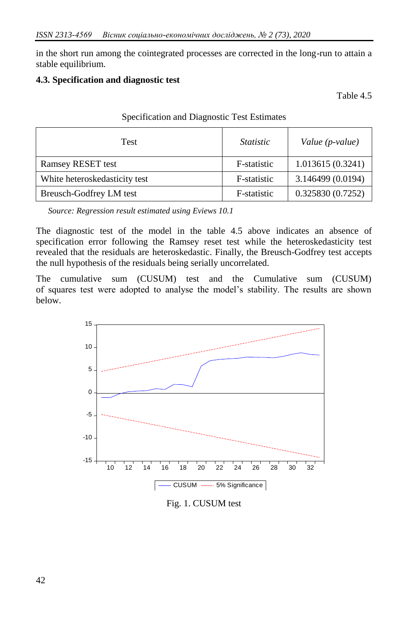in the short run among the cointegrated processes are corrected in the long-run to attain a stable equilibrium.

### **4.3. Specification and diagnostic test**

Table 4.5

| <b>Test</b>                   | <i>Statistic</i> | Value (p-value)   |  |
|-------------------------------|------------------|-------------------|--|
| Ramsey RESET test             | F-statistic      | 1.013615(0.3241)  |  |
| White heteroskedasticity test | F-statistic      | 3.146499 (0.0194) |  |
| Breusch-Godfrey LM test       | F-statistic      | 0.325830(0.7252)  |  |

Specification and Diagnostic Test Estimates

*Source: Regression result estimated using Eviews 10.1*

The diagnostic test of the model in the table 4.5 above indicates an absence of specification error following the Ramsey reset test while the heteroskedasticity test revealed that the residuals are heteroskedastic. Finally, the Breusch-Godfrey test accepts the null hypothesis of the residuals being serially uncorrelated.

The cumulative sum (CUSUM) test and the Cumulative sum (CUSUM) of squares test were adopted to analyse the model's stability. The results are shown below.



Fig. 1. CUSUM test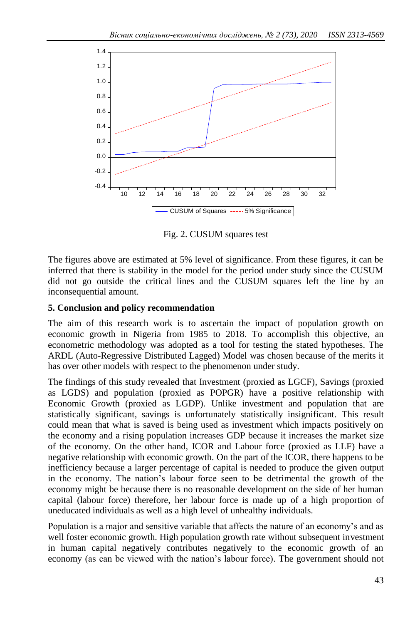

Fig. 2. CUSUM squares test

The figures above are estimated at 5% level of significance. From these figures, it can be inferred that there is stability in the model for the period under study since the CUSUM did not go outside the critical lines and the CUSUM squares left the line by an inconsequential amount.

### **5. Conclusion and policy recommendation**

The aim of this research work is to ascertain the impact of population growth on economic growth in Nigeria from 1985 to 2018. To accomplish this objective, an econometric methodology was adopted as a tool for testing the stated hypotheses. The ARDL (Auto-Regressive Distributed Lagged) Model was chosen because of the merits it has over other models with respect to the phenomenon under study.

The findings of this study revealed that Investment (proxied as LGCF), Savings (proxied as LGDS) and population (proxied as POPGR) have a positive relationship with Economic Growth (proxied as LGDP). Unlike investment and population that are statistically significant, savings is unfortunately statistically insignificant. This result could mean that what is saved is being used as investment which impacts positively on the economy and a rising population increases GDP because it increases the market size of the economy. On the other hand, ICOR and Labour force (proxied as LLF) have a negative relationship with economic growth. On the part of the ICOR, there happens to be inefficiency because a larger percentage of capital is needed to produce the given output in the economy. The nation's labour force seen to be detrimental the growth of the economy might be because there is no reasonable development on the side of her human capital (labour force) therefore, her labour force is made up of a high proportion of uneducated individuals as well as a high level of unhealthy individuals.

Population is a major and sensitive variable that affects the nature of an economy's and as well foster economic growth. High population growth rate without subsequent investment in human capital negatively contributes negatively to the economic growth of an economy (as can be viewed with the nation's labour force). The government should not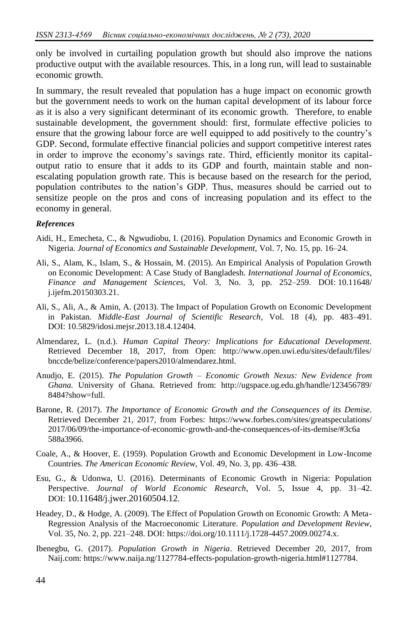only be involved in curtailing population growth but should also improve the nations productive output with the available resources. This, in a long run, will lead to sustainable economic growth.

In summary, the result revealed that population has a huge impact on economic growth but the government needs to work on the human capital development of its labour force as it is also a very significant determinant of its economic growth. Therefore, to enable sustainable development, the government should: first, formulate effective policies to ensure that the growing labour force are well equipped to add positively to the country's GDP. Second, formulate effective financial policies and support competitive interest rates in order to improve the economy's savings rate. Third, efficiently monitor its capitaloutput ratio to ensure that it adds to its GDP and fourth, maintain stable and nonescalating population growth rate. This is because based on the research for the period, population contributes to the nation's GDP. Thus, measures should be carried out to sensitize people on the pros and cons of increasing population and its effect to the economy in general.

#### *References*

- Aidi, H., Emecheta, C., & Ngwudiobu, I. (2016). Population Dynamics and Economic Growth in Nigeria. *Journal of Economics and Sustainable Development,* Vol. 7, No. 15, pp. 16–24.
- Ali, S., Alam, K., Islam, S., & Hossain, M. (2015). An Empirical Analysis of Population Growth on Economic Development: A Case Study of Bangladesh. *International Journal of Economics, Finance and Management Sciences,* Vol. 3, No. 3, pp. 252–259. DOI: [10.11648/](https://www.researchgate.net/deref/http%3A%2F%2Fdx.doi.org%2F10.11648%2Fj.ijefm.20150303.21)  [j.ijefm.20150303.21.](https://www.researchgate.net/deref/http%3A%2F%2Fdx.doi.org%2F10.11648%2Fj.ijefm.20150303.21)
- Ali, S., Ali, A., & Amin, A. (2013). The Impact of Population Growth on Economic Development in Pakistan. *Middle-East Journal of Scientific Research,* Vol. 18 (4), pp. 483–491. DOI: 10.5829/idosi.mejsr.2013.18.4.12404.
- Almendarez, L. (n.d.). *Human Capital Theory: Implications for Educational Development.* Retrieved December 18, 2017, from Open: http://www.open.uwi.edu/sites/default/files/ bnccde/belize/conference/papers2010/almendarez.html.
- Anudjo, E. (2015). *The Population Growth – Economic Growth Nexus: New Evidence from Ghana.* University of Ghana. Retrieved from: http://ugspace.ug.edu.gh/handle/123456789/ 8484?show=full.
- Barone, R. (2017). *The Importance of Economic Growth and the Consequences of its Demise.* Retrieved December 21, 2017, from Forbes: https://www.forbes.com/sites/greatspeculations/ 2017/06/09/the-importance-of-economic-growth-and-the-consequences-of-its-demise/#3c6a 588a3966.
- Coale, A., & Hoover, E. (1959). Population Growth and Economic Development in Low-Income Countries. *The American Economic Review,* Vol. 49, No. 3, pp. 436–438.
- Esu, G., & Udonwa, U. (2016). Determinants of Economic Growth in Nigeria: Population Perspective. *Journal of World Economic Research,* Vol. 5, Issue 4, pp. 31–42. DOI: [10.11648/j.jwer.20160504.12](http://dx.doi.org/10.11648/j.jwer.20160504.12).
- Headey, D., & Hodge, A. (2009). The Effect of Population Growth on Economic Growth: A Meta-Regression Analysis of the Macroeconomic Literature. *Population and Development Review,*  Vol. 35, No. 2, pp. 221–248. DOI: [https://doi.org/10.1111/j.1728-4457.2009.00274.x.](https://doi.org/10.1111/j.1728-4457.2009.00274.x)
- Ibenegbu, G. (2017). *Population Growth in Nigeria*. Retrieved December 20, 2017, from Naij.com: https://www.naija.ng/1127784-effects-population-growth-nigeria.html#1127784.